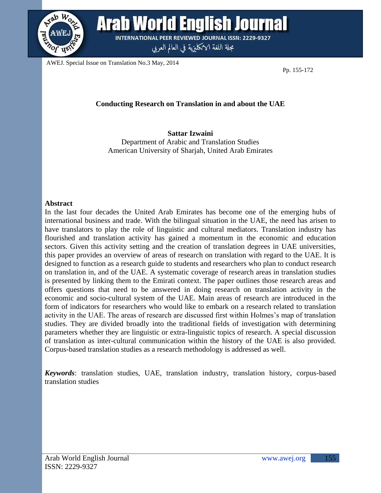

Arab World English Journal **INTERNATIONAL PEER REVIEWED JOURNAL ISSN: 2229-9327** 

مجلة اللغة الانكليزية في العالم العربي

AWEJ. Special Issue on Translation No.3 May, 2014

Pp. 155-172

# **Conducting Research on Translation in and about the UAE**

**Sattar Izwaini** Department of Arabic and Translation Studies American University of Sharjah, United Arab Emirates

## **Abstract**

In the last four decades the United Arab Emirates has become one of the emerging hubs of international business and trade. With the bilingual situation in the UAE, the need has arisen to have translators to play the role of linguistic and cultural mediators. Translation industry has flourished and translation activity has gained a momentum in the economic and education sectors. Given this activity setting and the creation of translation degrees in UAE universities, this paper provides an overview of areas of research on translation with regard to the UAE. It is designed to function as a research guide to students and researchers who plan to conduct research on translation in, and of the UAE. A systematic coverage of research areas in translation studies is presented by linking them to the Emirati context. The paper outlines those research areas and offers questions that need to be answered in doing research on translation activity in the economic and socio-cultural system of the UAE. Main areas of research are introduced in the form of indicators for researchers who would like to embark on a research related to translation activity in the UAE. The areas of research are discussed first within Holmes's map of translation studies. They are divided broadly into the traditional fields of investigation with determining parameters whether they are linguistic or extra-linguistic topics of research. A special discussion of translation as inter-cultural communication within the history of the UAE is also provided. Corpus-based translation studies as a research methodology is addressed as well.

*Keywords*: translation studies, UAE, translation industry, translation history, corpus-based translation studies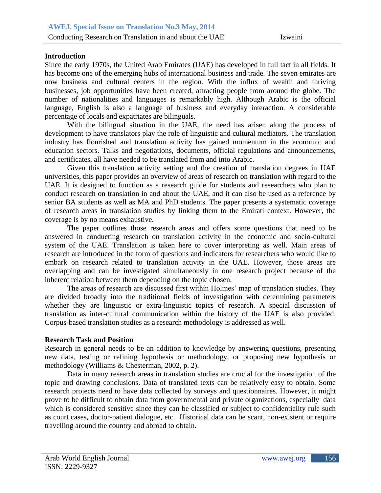# **Introduction**

Since the early 1970s, the United Arab Emirates (UAE) has developed in full tact in all fields. It has become one of the emerging hubs of international business and trade. The seven emirates are now business and cultural centers in the region. With the influx of wealth and thriving businesses, job opportunities have been created, attracting people from around the globe. The number of nationalities and languages is remarkably high. Although Arabic is the official language, English is also a language of business and everyday interaction. A considerable percentage of locals and expatriates are bilinguals.

With the bilingual situation in the UAE, the need has arisen along the process of development to have translators play the role of linguistic and cultural mediators. The translation industry has flourished and translation activity has gained momentum in the economic and education sectors. Talks and negotiations, documents, official regulations and announcements, and certificates, all have needed to be translated from and into Arabic.

Given this translation activity setting and the creation of translation degrees in UAE universities, this paper provides an overview of areas of research on translation with regard to the UAE. It is designed to function as a research guide for students and researchers who plan to conduct research on translation in and about the UAE, and it can also be used as a reference by senior BA students as well as MA and PhD students. The paper presents a systematic coverage of research areas in translation studies by linking them to the Emirati context. However, the coverage is by no means exhaustive.

The paper outlines those research areas and offers some questions that need to be answered in conducting research on translation activity in the economic and socio-cultural system of the UAE. Translation is taken here to cover interpreting as well. Main areas of research are introduced in the form of questions and indicators for researchers who would like to embark on research related to translation activity in the UAE. However, those areas are overlapping and can be investigated simultaneously in one research project because of the inherent relation between them depending on the topic chosen.

The areas of research are discussed first within Holmes' map of translation studies. They are divided broadly into the traditional fields of investigation with determining parameters whether they are linguistic or extra-linguistic topics of research. A special discussion of translation as inter-cultural communication within the history of the UAE is also provided. Corpus-based translation studies as a research methodology is addressed as well.

#### **Research Task and Position**

Research in general needs to be an addition to knowledge by answering questions, presenting new data, testing or refining hypothesis or methodology, or proposing new hypothesis or methodology (Williams & Chesterman, 2002, p. 2).

Data in many research areas in translation studies are crucial for the investigation of the topic and drawing conclusions. Data of translated texts can be relatively easy to obtain. Some research projects need to have data collected by surveys and questionnaires. However, it might prove to be difficult to obtain data from governmental and private organizations, especially data which is considered sensitive since they can be classified or subject to confidentiality rule such as court cases, doctor-patient dialogue, etc. Historical data can be scant, non-existent or require travelling around the country and abroad to obtain.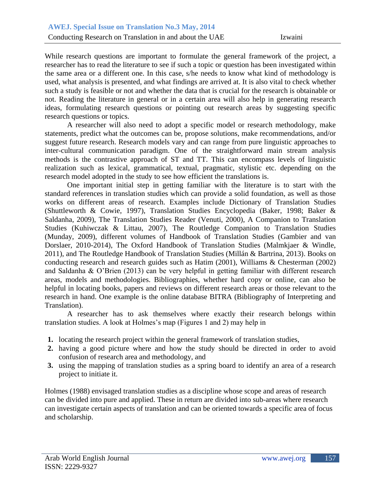While research questions are important to formulate the general framework of the project, a researcher has to read the literature to see if such a topic or question has been investigated within the same area or a different one. In this case, s/he needs to know what kind of methodology is used, what analysis is presented, and what findings are arrived at. It is also vital to check whether such a study is feasible or not and whether the data that is crucial for the research is obtainable or not. Reading the literature in general or in a certain area will also help in generating research ideas, formulating research questions or pointing out research areas by suggesting specific research questions or topics.

A researcher will also need to adopt a specific model or research methodology, make statements, predict what the outcomes can be, propose solutions, make recommendations, and/or suggest future research. Research models vary and can range from pure linguistic approaches to inter-cultural communication paradigm. One of the straightforward main stream analysis methods is the contrastive approach of ST and TT. This can encompass levels of linguistic realization such as lexical, grammatical, textual, pragmatic, stylistic etc. depending on the research model adopted in the study to see how efficient the translations is.

One important initial step in getting familiar with the literature is to start with the standard references in translation studies which can provide a solid foundation, as well as those works on different areas of research. Examples include Dictionary of Translation Studies (Shuttleworth & Cowie, 1997), Translation Studies Encyclopedia (Baker, 1998; Baker & Saldanha, 2009), The Translation Studies Reader (Venuti, 2000), A Companion to Translation Studies (Kuhiwczak & Littau, 2007), The Routledge Companion to Translation Studies (Munday, 2009), different volumes of Handbook of Translation Studies (Gambier and van Dorslaer, 2010-2014), The Oxford Handbook of Translation Studies (Malmkjaer & Windle, 2011), and The Routledge Handbook of Translation Studies (Millán & Bartrina, 2013). Books on conducting research and research guides such as Hatim (2001), Williams & Chesterman (2002) and Saldanha & O'Brien (2013) can be very helpful in getting familiar with different research areas, models and methodologies. Bibliographies, whether hard copy or online, can also be helpful in locating books, papers and reviews on different research areas or those relevant to the research in hand. One example is the online database BITRA (Bibliography of Interpreting and Translation).

A researcher has to ask themselves where exactly their research belongs within translation studies. A look at Holmes's map (Figures 1 and 2) may help in

- **1.** locating the research project within the general framework of translation studies,
- **2.** having a good picture where and how the study should be directed in order to avoid confusion of research area and methodology, and
- **3.** using the mapping of translation studies as a spring board to identify an area of a research project to initiate it.

Holmes (1988) envisaged translation studies as a discipline whose scope and areas of research can be divided into pure and applied. These in return are divided into sub-areas where research can investigate certain aspects of translation and can be oriented towards a specific area of focus and scholarship.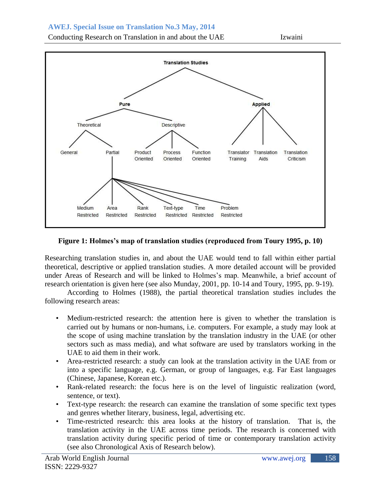Conducting Research on Translation in and about the UAE Izwaini



# **Figure 1: Holmes's map of translation studies (reproduced from Toury 1995, p. 10)**

Researching translation studies in, and about the UAE would tend to fall within either partial theoretical, descriptive or applied translation studies. A more detailed account will be provided under Areas of Research and will be linked to Holmes's map. Meanwhile, a brief account of research orientation is given here (see also Munday, 2001, pp. 10-14 and Toury, 1995, pp. 9-19).

According to Holmes (1988), the partial theoretical translation studies includes the following research areas:

- Medium-restricted research: the attention here is given to whether the translation is carried out by humans or non-humans, i.e. computers. For example, a study may look at the scope of using machine translation by the translation industry in the UAE (or other sectors such as mass media), and what software are used by translators working in the UAE to aid them in their work.
- Area-restricted research: a study can look at the translation activity in the UAE from or into a specific language, e.g. German, or group of languages, e.g. Far East languages (Chinese, Japanese, Korean etc.).
- Rank-related research: the focus here is on the level of linguistic realization (word, sentence, or text).
- Text-type research: the research can examine the translation of some specific text types and genres whether literary, business, legal, advertising etc.
- Time-restricted research: this area looks at the history of translation. That is, the translation activity in the UAE across time periods. The research is concerned with translation activity during specific period of time or contemporary translation activity (see also Chronological Axis of Research below).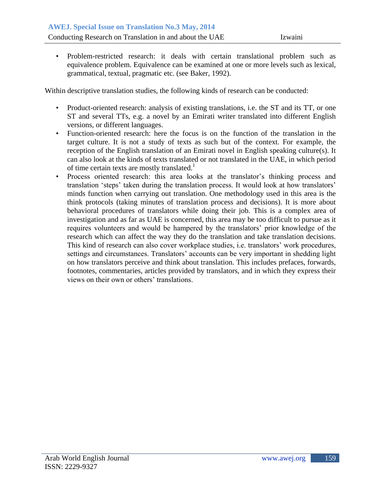$\bullet$ equivalence problem. Equivalence can be examined at one or more levels such as lexical, • Problem-restricted research: it deals with certain translational problem such as grammatical, textual, pragmatic etc. (see Baker, 1992).

Within descriptive translation studies, the following kinds of research can be conducted:

- Product-oriented research: analysis of existing translations, i.e. the ST and its TT, or one ST and several TTs, e.g. a novel by an Emirati writer translated into different English versions, or different languages.
- Function-oriented research: here the focus is on the function of the translation in the target culture. It is not a study of texts as such but of the context. For example, the reception of the English translation of an Emirati novel in English speaking culture(s). It can also look at the kinds of texts translated or not translated in the UAE, in which period of time certain texts are mostly translated.<sup>1</sup>
- Process oriented research: this area looks at the translator's thinking process and translation 'steps' taken during the translation process. It would look at how translators' minds function when carrying out translation. One methodology used in this area is the think protocols (taking minutes of translation process and decisions). It is more about behavioral procedures of translators while doing their job. This is a complex area of investigation and as far as UAE is concerned, this area may be too difficult to pursue as it requires volunteers and would be hampered by the translators' prior knowledge of the research which can affect the way they do the translation and take translation decisions. This kind of research can also cover workplace studies, i.e. translators' work procedures, settings and circumstances. Translators' accounts can be very important in shedding light on how translators perceive and think about translation. This includes prefaces, forwards, footnotes, commentaries, articles provided by translators, and in which they express their views on their own or others' translations.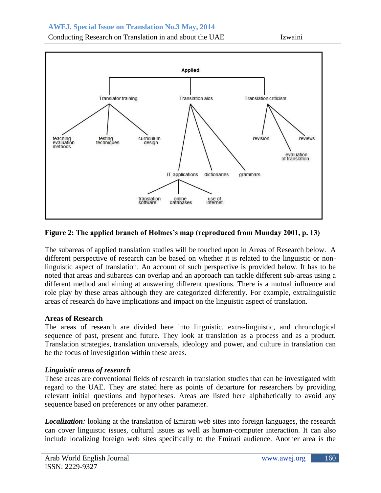Conducting Research on Translation in and about the UAE Izwaini



# **Figure 2: The applied branch of Holmes's map (reproduced from Munday 2001, p. 13)**

The subareas of applied translation studies will be touched upon in Areas of Research below. A different perspective of research can be based on whether it is related to the linguistic or nonlinguistic aspect of translation. An account of such perspective is provided below. It has to be noted that areas and subareas can overlap and an approach can tackle different sub-areas using a different method and aiming at answering different questions. There is a mutual influence and role play by these areas although they are categorized differently. For example, extralinguistic areas of research do have implications and impact on the linguistic aspect of translation.

## **Areas of Research**

The areas of research are divided here into linguistic, extra-linguistic, and chronological sequence of past, present and future. They look at translation as a process and as a product. Translation strategies, translation universals, ideology and power, and culture in translation can be the focus of investigation within these areas.

## *Linguistic areas of research*

These areas are conventional fields of research in translation studies that can be investigated with regard to the UAE. They are stated here as points of departure for researchers by providing relevant initial questions and hypotheses. Areas are listed here alphabetically to avoid any sequence based on preferences or any other parameter.

*Localization:* looking at the translation of Emirati web sites into foreign languages, the research can cover linguistic issues, cultural issues as well as human-computer interaction. It can also include localizing foreign web sites specifically to the Emirati audience. Another area is the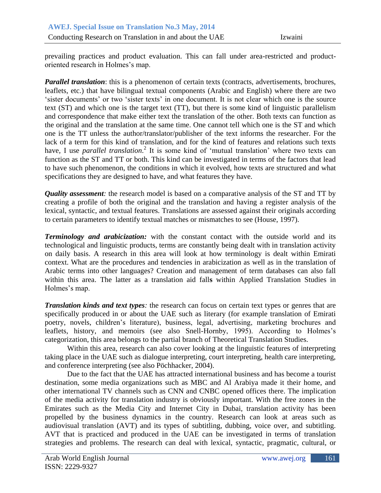prevailing practices and product evaluation. This can fall under area-restricted and productoriented research in Holmes's map.

*Parallel translation*: this is a phenomenon of certain texts (contracts, advertisements, brochures, leaflets, etc.) that have bilingual textual components (Arabic and English) where there are two 'sister documents' or two 'sister texts' in one document. It is not clear which one is the source text (ST) and which one is the target text (TT), but there is some kind of linguistic parallelism and correspondence that make either text the translation of the other. Both texts can function as the original and the translation at the same time. One cannot tell which one is the ST and which one is the TT unless the author/translator/publisher of the text informs the researcher. For the lack of a term for this kind of translation, and for the kind of features and relations such texts have, I use *parallel translation*.<sup>2</sup> It is some kind of 'mutual translation' where two texts can function as the ST and TT or both. This kind can be investigated in terms of the factors that lead to have such phenomenon, the conditions in which it evolved, how texts are structured and what specifications they are designed to have, and what features they have.

*Quality assessment:* the research model is based on a comparative analysis of the ST and TT by creating a profile of both the original and the translation and having a register analysis of the lexical, syntactic, and textual features. Translations are assessed against their originals according to certain parameters to identify textual matches or mismatches to see (House, 1997).

*Terminology and arabicization:* with the constant contact with the outside world and its technological and linguistic products, terms are constantly being dealt with in translation activity on daily basis. A research in this area will look at how terminology is dealt within Emirati context. What are the procedures and tendencies in arabicization as well as in the translation of Arabic terms into other languages? Creation and management of term databases can also fall within this area. The latter as a translation aid fall**s** within Applied Translation Studies in Holmes's map.

*Translation kinds and text types*: the research can focus on certain text types or genres that are specifically produced in or about the UAE such as literary (for example translation of Emirati poetry, novels, children's literature), business, legal, advertising, marketing brochures and leaflets, history, and memoirs (see also Snell-Hornby, 1995). According to Holmes's categorization, this area belongs to the partial branch of Theoretical Translation Studies.

Within this area, research can also cover looking at the linguistic features of interpreting taking place in the UAE such as dialogue interpreting, court interpreting, health care interpreting, and conference interpreting (see also Pöchhacker, 2004).

Due to the fact that the UAE has attracted international business and has become a tourist destination, some media organizations such as MBC and Al Arabiya made it their home, and other international TV channels such as CNN and CNBC opened offices there. The implication of the media activity for translation industry is obviously important. With the free zones in the Emirates such as the Media City and Internet City in Dubai, translation activity has been propelled by the business dynamics in the country. Research can look at areas such as audiovisual translation (AVT) and its types of subtitling, dubbing, voice over, and subtitling. AVT that is practiced and produced in the UAE can be investigated in terms of translation strategies and problems. The research can deal with lexical, syntactic, pragmatic, cultural, or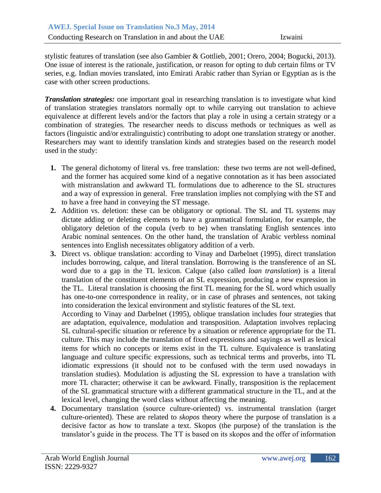stylistic features of translation (see also Gambier & Gottlieb, 2001; Orero, 2004; Bogucki, 2013). One issue of interest is the rationale, justification, or reason for opting to dub certain films or TV series, e.g. Indian movies translated, into Emirati Arabic rather than Syrian or Egyptian as is the case with other screen productions.

*Translation strategies:* one important goal in researching translation is to investigate what kind of translation strategies translators normally opt to while carrying out translation to achieve equivalence at different levels and/or the factors that play a role in using a certain strategy or a combination of strategies. The researcher needs to discuss methods or techniques as well as factors (linguistic and/or extralinguistic) contributing to adopt one translation strategy or another. Researchers may want to identify translation kinds and strategies based on the research model used in the study:

- **1.** The general dichotomy of literal vs. free translation: these two terms are not well-defined, and the former has acquired some kind of a negative connotation as it has been associated with mistranslation and awkward TL formulations due to adherence to the SL structures and a way of expression in general. Free translation implies not complying with the ST and to have a free hand in conveying the ST message.
- **2.** Addition vs. deletion: these can be obligatory or optional. The SL and TL systems may dictate adding or deleting elements to have a grammatical formulation, for example, the obligatory deletion of the copula (verb to be) when translating English sentences into Arabic nominal sentences. On the other hand, the translation of Arabic verbless nominal sentences into English necessitates obligatory addition of a verb.
- **3.** Direct vs. oblique translation: according to Vinay and Darbelnet (1995), direct translation includes borrowing, calque, and literal translation. Borrowing is the transference of an SL word due to a gap in the TL lexicon. Calque (also called *loan translation*) is a literal translation of the constituent elements of an SL expression, producing a new expression in the TL. Literal translation is choosing the first TL meaning for the SL word which usually has one-to-one correspondence in reality, or in case of phrases and sentences, not taking into consideration the lexical environment and stylistic features of the SL text.

According to Vinay and Darbelnet (1995), oblique translation includes four strategies that are adaptation, equivalence, modulation and transposition. Adaptation involves replacing SL cultural-specific situation or reference by a situation or reference appropriate for the TL culture. This may include the translation of fixed expressions and sayings as well as lexical items for which no concepts or items exist in the TL culture. Equivalence is translating language and culture specific expressions, such as technical terms and proverbs, into TL idiomatic expressions (it should not to be confused with the term used nowadays in translation studies). Modulation is adjusting the SL expression to have a translation with more TL character; otherwise it can be awkward. Finally, transposition is the replacement of the SL grammatical structure with a different grammatical structure in the TL, and at the lexical level, changing the word class without affecting the meaning.

**4.** Documentary translation (source culture-oriented) vs. instrumental translation (target culture-oriented). These are related to *skopos* theory where the purpose of translation is a decisive factor as how to translate a text. Skopos (the purpose) of the translation is the translator's guide in the process. The TT is based on its skopos and the offer of information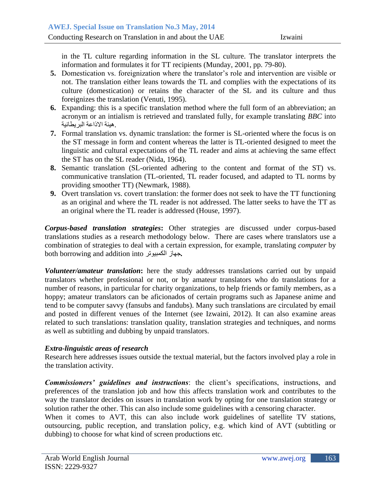in the TL culture regarding information in the SL culture. The translator interprets the information and formulates it for TT recipients (Munday, 2001, pp. 79-80).

- **5.** Domestication vs. foreignization where the translator's role and intervention are visible or not. The translation either leans towards the TL and complies with the expectations of its culture (domestication) or retains the character of the SL and its culture and thus foreignizes the translation (Venuti, 1995).
- **6.** Expanding: this is a specific translation method where the full form of an abbreviation; an acronym or an intialism is retrieved and translated fully, for example translating *BBC* into .هيئة االذاعة البريطانية
- **7.** Formal translation vs. dynamic translation: the former is SL-oriented where the focus is on the ST message in form and content whereas the latter is TL-oriented designed to meet the linguistic and cultural expectations of the TL reader and aims at achieving the same effect the ST has on the SL reader (Nida, 1964).
- **8.** Semantic translation (SL-oriented adhering to the content and format of the ST) vs. communicative translation (TL-oriented, TL reader focused, and adapted to TL norms by providing smoother TT) (Newmark, 1988).
- **9.** Overt translation vs. covert translation: the former does not seek to have the TT functioning as an original and where the TL reader is not addressed. The latter seeks to have the TT as an original where the TL reader is addressed (House, 1997).

*Corpus-based translation strategies***:** Other strategies are discussed under corpus-based translations studies as a research methodology below. There are cases where translators use a combination of strategies to deal with a certain expression, for example, translating *computer* by both borrowing and addition into الكمبيوتر جهاز*.*

*Volunteer/amateur translation***:** here the study addresses translations carried out by unpaid translators whether professional or not, or by amateur translators who do translations for a number of reasons, in particular for charity organizations, to help friends or family members, as a hoppy; amateur translators can be aficionados of certain programs such as Japanese anime and tend to be computer savvy (fansubs and fandubs). Many such translations are circulated by email and posted in different venues of the Internet (see Izwaini, 2012). It can also examine areas related to such translations: translation quality, translation strategies and techniques, and norms as well as subtitling and dubbing by unpaid translators.

## *Extra-linguistic areas of research*

Research here addresses issues outside the textual material, but the factors involved play a role in the translation activity.

*Commissioners' guidelines and instructions*: the client's specifications, instructions, and preferences of the translation job and how this affects translation work and contributes to the way the translator decides on issues in translation work by opting for one translation strategy or solution rather the other. This can also include some guidelines with a censoring character.

When it comes to AVT, this can also include work guidelines of satellite TV stations, outsourcing, public reception, and translation policy, e.g. which kind of AVT (subtitling or dubbing) to choose for what kind of screen productions etc.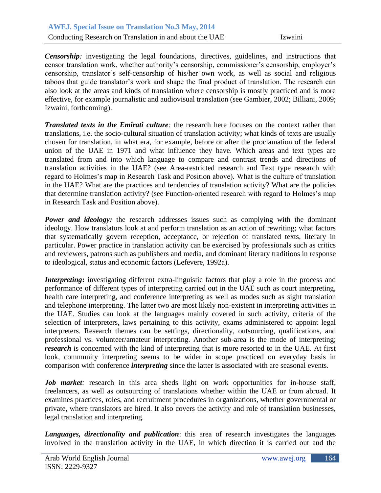**Censorship**: investigating the legal foundations, directives, guidelines, and instructions that censor translation work, whether authority's censorship, commissioner's censorship, employer's censorship, translator's self-censorship of his/her own work, as well as social and religious taboos that guide translator's work and shape the final product of translation. The research can also look at the areas and kinds of translation where censorship is mostly practiced and is more effective, for example journalistic and audiovisual translation (see Gambier, 2002; Billiani, 2009; Izwaini, forthcoming).

*Translated texts in the Emirati culture:* the research here focuses on the context rather than translations, i.e. the socio-cultural situation of translation activity; what kinds of texts are usually chosen for translation, in what era, for example, before or after the proclamation of the federal union of the UAE in 1971 and what influence they have. Which areas and text types are translated from and into which language to compare and contrast trends and directions of translation activities in the UAE? (see Area-restricted research and Text type research with regard to Holmes's map in Research Task and Position above). What is the culture of translation in the UAE? What are the practices and tendencies of translation activity? What are the policies that determine translation activity? (see Function-oriented research with regard to Holmes's map in Research Task and Position above).

*Power and ideology:* the research addresses issues such as complying with the dominant ideology. How translators look at and perform translation as an action of rewriting; what factors that systematically govern reception, acceptance, or rejection of translated texts, literary in particular. Power practice in translation activity can be exercised by professionals such as critics and reviewers, patrons such as publishers and media**,** and dominant literary traditions in response to ideological, status and economic factors (Lefevere, 1992a).

*Interpreting*: investigating different extra-linguistic factors that play a role in the process and performance of different types of interpreting carried out in the UAE such as court interpreting, health care interpreting, and conference interpreting as well as modes such as sight translation and telephone interpreting. The latter two are most likely non-existent in interpreting activities in the UAE. Studies can look at the languages mainly covered in such activity, criteria of the selection of interpreters, laws pertaining to this activity, exams administered to appoint legal interpreters. Research themes can be settings, directionality, outsourcing, qualifications, and professional vs. volunteer/amateur interpreting. Another sub-area is the mode of interpreting; *research* is concerned with the kind of interpreting that is more resorted to in the UAE. At first look, community interpreting seems to be wider in scope practiced on everyday basis in comparison with conference *interpreting* since the latter is associated with are seasonal events.

*Job market:* research in this area sheds light on work opportunities for in-house staff, freelancers, as well as outsourcing of translations whether within the UAE or from abroad. It examines practices, roles, and recruitment procedures in organizations, whether governmental or private, where translators are hired. It also covers the activity and role of translation businesses, legal translation and interpreting.

*Languages, directionality and publication*: this area of research investigates the languages involved in the translation activity in the UAE, in which direction it is carried out and the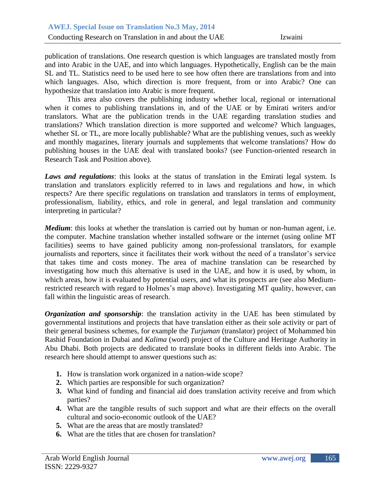publication of translations. One research question is which languages are translated mostly from and into Arabic in the UAE, and into which languages. Hypothetically, English can be the main SL and TL. Statistics need to be used here to see how often there are translations from and into which languages. Also, which direction is more frequent, from or into Arabic? One can hypothesize that translation into Arabic is more frequent.

This area also covers the publishing industry whether local, regional or international when it comes to publishing translations in, and of the UAE or by Emirati writers and/or translators. What are the publication trends in the UAE regarding translation studies and translations? Which translation direction is more supported and welcome? Which languages, whether SL or TL, are more locally publishable? What are the publishing venues, such as weekly and monthly magazines, literary journals and supplements that welcome translations? How do publishing houses in the UAE deal with translated books? (see Function-oriented research in Research Task and Position above).

*Laws and regulations*: this looks at the status of translation in the Emirati legal system. Is translation and translators explicitly referred to in laws and regulations and how, in which respects? Are there specific regulations on translation and translators in terms of employment, professionalism, liability, ethics, and role in general, and legal translation and community interpreting in particular?

*Medium*: this looks at whether the translation is carried out by human or non-human agent, i.e. the computer. Machine translation whether installed software or the internet (using online MT facilities) seems to have gained publicity among non-professional translators, for example journalists and reporters, since it facilitates their work without the need of a translator's service that takes time and costs money. The area of machine translation can be researched by investigating how much this alternative is used in the UAE, and how it is used, by whom, in which areas, how it is evaluated by potential users, and what its prospects are (see also Mediumrestricted research with regard to Holmes's map above). Investigating MT quality, however, can fall within the linguistic areas of research.

*Organization and sponsorship*: the translation activity in the UAE has been stimulated by governmental institutions and projects that have translation either as their sole activity or part of their general business schemes, for example the *Turjuman* (translator) project of Mohammed bin Rashid Foundation in Dubai and *Kalima* (word) project of the Culture and Heritage Authority in Abu Dhabi. Both projects are dedicated to translate books in different fields into Arabic. The research here should attempt to answer questions such as:

- **1.** How is translation work organized in a nation-wide scope?
- **2.** Which parties are responsible for such organization?
- **3.** What kind of funding and financial aid does translation activity receive and from which parties?
- **4.** What are the tangible results of such support and what are their effects on the overall cultural and socio-economic outlook of the UAE?
- **5.** What are the areas that are mostly translated?
- **6.** What are the titles that are chosen for translation?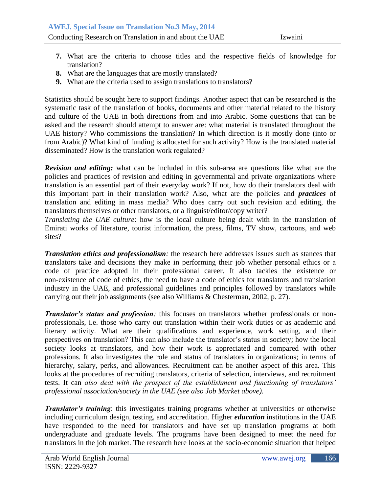- 7. What are the criteria to choose titles and the respective fields of knowledge for translation?
	- **8.** What are the languages that are mostly translated?
	- **9.** What are the criteria used to assign translations to translators?

Statistics should be sought here to support findings. Another aspect that can be researched is the systematic task of the translation of books, documents and other material related to the history and culture of the UAE in both directions from and into Arabic. Some questions that can be asked and the research should attempt to answer are: what material is translated throughout the UAE history? Who commissions the translation? In which direction is it mostly done (into or from Arabic)? What kind of funding is allocated for such activity? How is the translated material disseminated? How is the translation work regulated?

*Revision and editing:* what can be included in this sub-area are questions like what are the policies and practices of revision and editing in governmental and private organizations where translation is an essential part of their everyday work? If not, how do their translators deal with this important part in their translation work? Also, what are the policies and *practices* of translation and editing in mass media? Who does carry out such revision and editing, the translators themselves or other translators, or a linguist/editor/copy writer?

*Translating the UAE culture*: how is the local culture being dealt with in the translation of Emirati works of literature, tourist information, the press, films, TV show, cartoons, and web sites?

*Translation ethics and professionalism:* the research here addresses issues such as stances that translators take and decisions they make in performing their job whether personal ethics or a code of practice adopted in their professional career. It also tackles the existence or non-existence of code of ethics, the need to have a code of ethics for translators and translation industry in the UAE, and professional guidelines and principles followed by translators while carrying out their job assignments (see also Williams & Chesterman, 2002, p. 27).

*Translator's status and profession:* this focuses on translators whether professionals or nonprofessionals, i.e. those who carry out translation within their work duties or as academic and literary activity. What are their qualifications and experience, work setting, and their perspectives on translation? This can also include the translator's status in society; how the local society looks at translators, and how their work is appreciated and compared with other professions. It also investigates the role and status of translators in organizations; in terms of hierarchy, salary, perks, and allowances. Recruitment can be another aspect of this area. This looks at the procedures of recruiting translators, criteria of selection, interviews, and recruitment tests. It can *also deal with the prospect of the establishment and functioning of translators' professional association/society in the UAE (see also Job Market above).*

*Translator's training*: this investigates training programs whether at universities or otherwise including curriculum design, testing, and accreditation. Higher *education* institutions in the UAE have responded to the need for translators and have set up translation programs at both undergraduate and graduate levels. The programs have been designed to meet the need for translators in the job market. The research here looks at the socio-economic situation that helped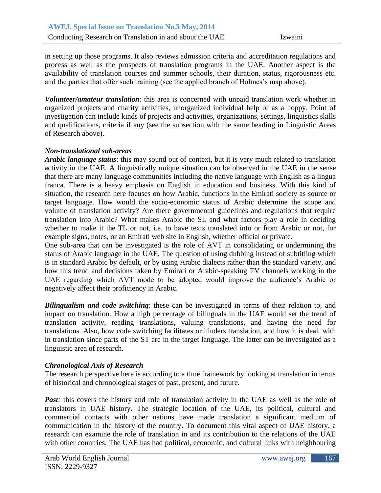in setting up those programs. It also reviews admission criteria and accreditation regulations and process as well as the prospects of translation programs in the UAE. Another aspect is the availability of translation courses and summer schools, their duration, status, rigorousness etc. and the parties that offer such training (see the applied branch of Holmes's map above).

*Volunteer/amateur translation*: this area is concerned with unpaid translation work whether in organized projects and charity activities, unorganized individual help or as a hoppy. Point of investigation can include kinds of projects and activities, organizations, settings, linguistics skills and qualifications, criteria if any (see the subsection with the same heading in Linguistic Areas of Research above).

#### *Non-translational sub-areas*

*Arabic language status*: this may sound out of context, but it is very much related to translation activity in the UAE. A linguistically unique situation can be observed in the UAE in the sense that there are many language communities including the native language with English as a lingua franca. There is a heavy emphasis on English in education and business. With this kind of situation, the research here focuses on how Arabic, functions in the Emirati society as source or target language. How would the socio-economic status of Arabic determine the scope and volume of translation activity? Are there governmental guidelines and regulations that require translation into Arabic? What makes Arabic the SL and what factors play a role in deciding whether to make it the TL or not, i.e. to have texts translated into or from Arabic or not, for example signs, notes, or an Emirati web site in English, whether official or private.

One sub-area that can be investigated is the role of AVT in consolidating or undermining the status of Arabic language in the UAE. The question of using dubbing instead of subtitling which is in standard Arabic by default, or by using Arabic dialects rather than the standard variety, and how this trend and decisions taken by Emirati or Arabic-speaking TV channels working in the UAE regarding which AVT mode to be adopted would improve the audience's Arabic or negatively affect their proficiency in Arabic.

*Bilingualism and code switching*: these can be investigated in terms of their relation to, and impact on translation. How a high percentage of bilinguals in the UAE would set the trend of translation activity, reading translations, valuing translations, and having the need for translations. Also, how code switching facilitates or hinders translation, and how it is dealt with in translation since parts of the ST are in the target language. The latter can be investigated as a linguistic area of research.

## *Chronological Axis of Research*

The research perspective here is according to a time framework by looking at translation in terms of historical and chronological stages of past, present, and future.

*Past*: this covers the history and role of translation activity in the UAE as well as the role of translators in UAE history. The strategic location of the UAE, its political, cultural and commercial contacts with other nations have made translation a significant medium of communication in the history of the country. To document this vital aspect of UAE history, a research can examine the role of translation in and its contribution to the relations of the UAE with other countries. The UAE has had political, economic, and cultural links with neighbouring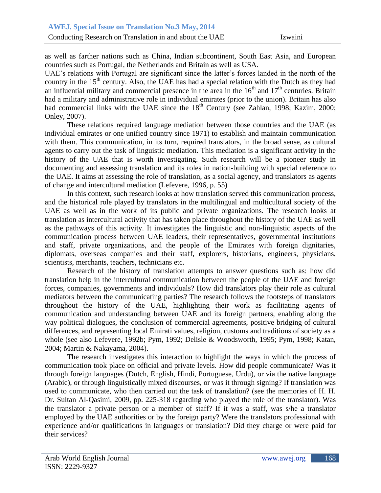as well as farther nations such as China, Indian subcontinent, South East Asia, and European countries such as Portugal, the Netherlands and Britain as well as USA.

UAE's relations with Portugal are significant since the latter's forces landed in the north of the country in the  $15<sup>th</sup>$  century. Also, the UAE has had a special relation with the Dutch as they had an influential military and commercial presence in the area in the  $16<sup>th</sup>$  and  $17<sup>th</sup>$  centuries. Britain had a military and administrative role in individual emirates (prior to the union). Britain has also had commercial links with the UAE since the  $18<sup>th</sup>$  Century (see Zahlan, 1998; Kazim, 2000; Onley, 2007).

These relations required language mediation between those countries and the UAE (as individual emirates or one unified country since 1971) to establish and maintain communication with them. This communication, in its turn, required translators, in the broad sense, as cultural agents to carry out the task of linguistic mediation. This mediation is a significant activity in the history of the UAE that is worth investigating. Such research will be a pioneer study in documenting and assessing translation and its roles in nation-building with special reference to the UAE. It aims at assessing the role of translation, as a social agency, and translators as agents of change and intercultural mediation (Lefevere, 1996, p. 55)

In this context, such research looks at how translation served this communication process, and the historical role played by translators in the multilingual and multicultural society of the UAE as well as in the work of its public and private organizations. The research looks at translation as intercultural activity that has taken place throughout the history of the UAE as well as the pathways of this activity. It investigates the linguistic and non-linguistic aspects of the communication process between UAE leaders, their representatives, governmental institutions and staff, private organizations, and the people of the Emirates with foreign dignitaries, diplomats, overseas companies and their staff, explorers, historians, engineers, physicians, scientists, merchants, teachers, technicians etc.

Research of the history of translation attempts to answer questions such as: how did translation help in the intercultural communication between the people of the UAE and foreign forces, companies, governments and individuals? How did translators play their role as cultural mediators between the communicating parties? The research follows the footsteps of translators throughout the history of the UAE, highlighting their work as facilitating agents of communication and understanding between UAE and its foreign partners, enabling along the way political dialogues, the conclusion of commercial agreements, positive bridging of cultural differences, and representing local Emirati values, religion, customs and traditions of society as a whole (see also Lefevere, 1992b; Pym, 1992; Delisle & Woodsworth, 1995; Pym, 1998; Katan, 2004; Martin & Nakayama, 2004).

The research investigates this interaction to highlight the ways in which the process of communication took place on official and private levels. How did people communicate? Was it through foreign languages (Dutch, English, Hindi, Portuguese, Urdu), or via the native language (Arabic), or through linguistically mixed discourses, or was it through signing? If translation was used to communicate, who then carried out the task of translation? (see the memories of H. H. Dr. Sultan Al-Qasimi, 2009, pp. 225-318 regarding who played the role of the translator). Was the translator a private person or a member of staff? If it was a staff, was s/he a translator employed by the UAE authorities or by the foreign party? Were the translators professional with experience and/or qualifications in languages or translation? Did they charge or were paid for their services?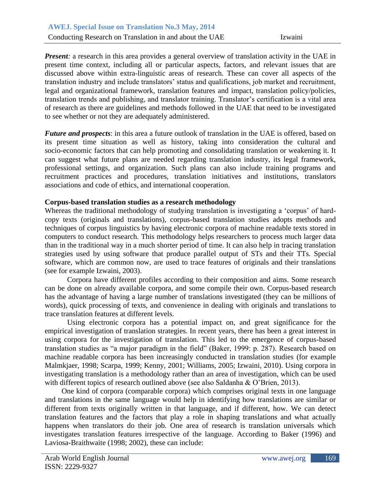*Present:* a research in this area provides a general overview of translation activity in the UAE in present time context, including all or particular aspects, factors, and relevant issues that are discussed above within extra-linguistic areas of research. These can cover all aspects of the translation industry and include translators' status and qualifications, job market and recruitment, legal and organizational framework, translation features and impact, translation policy/policies, translation trends and publishing, and translator training. Translator's certification is a vital area of research as there are guidelines and methods followed in the UAE that need to be investigated to see whether or not they are adequately administered.

*Future and prospects*: in this area a future outlook of translation in the UAE is offered, based on its present time situation as well as history, taking into consideration the cultural and socio-economic factors that can help promoting and consolidating translation or weakening it. It can suggest what future plans are needed regarding translation industry, its legal framework, professional settings, and organization. Such plans can also include training programs and recruitment practices and procedures, translation initiatives and institutions, translators associations and code of ethics, and international cooperation.

#### **Corpus-based translation studies as a research methodology**

Whereas the traditional methodology of studying translation is investigating a 'corpus' of hardcopy texts (originals and translations), corpus-based translation studies adopts methods and techniques of corpus linguistics by having electronic corpora of machine readable texts stored in computers to conduct research. This methodology helps researchers to process much larger data than in the traditional way in a much shorter period of time. It can also help in tracing translation strategies used by using software that produce parallel output of STs and their TTs. Special software, which are common now, are used to trace features of originals and their translations (see for example Izwaini, 2003).

Corpora have different profiles according to their composition and aims. Some research can be done on already available corpora, and some compile their own. Corpus-based research has the advantage of having a large number of translations investigated (they can be millions of words), quick processing of texts, and convenience in dealing with originals and translations to trace translation features at different levels.

Using electronic corpora has a potential impact on, and great significance for the empirical investigation of translation strategies. In recent years, there has been a great interest in using corpora for the investigation of translation. This led to the emergence of corpus-based translation studies as "a major paradigm in the field" (Baker, 1999: p. 287). Research based on machine readable corpora has been increasingly conducted in translation studies (for example Malmkjaer, 1998; Scarpa, 1999; Kenny, 2001; Williams, 2005; Izwaini, 2010). Using corpora in investigating translation is a methodology rather than an area of investigation, which can be used with different topics of research outlined above (see also Saldanha & O'Brien, 2013).

One kind of corpora (comparable corpora) which comprises original texts in one language and translations in the same language would help in identifying how translations are similar or different from texts originally written in that language, and if different, how. We can detect translation features and the factors that play a role in shaping translations and what actually happens when translators do their job. One area of research is translation universals which investigates translation features irrespective of the language. According to Baker (1996) and Laviosa-Braithwaite (1998; 2002), these can include: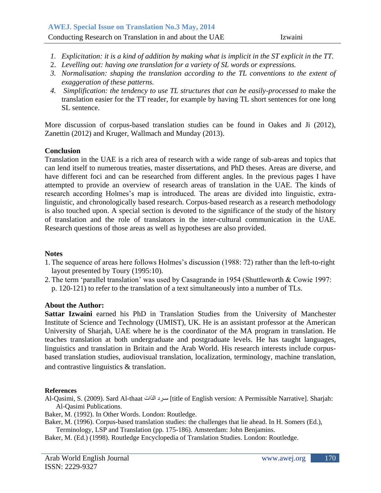- *1. Explicitation: it is a kind of addition by making what is implicit in the ST explicit in the TT.*
- 2. *Levelling out: having one translation for a variety of SL words or expressions.*
- *3. Normalisation: shaping the translation according to the TL conventions to the extent of exaggeration of these patterns.*
- 4. *Simplification: the tendency to use TL structures that can be easily-processed to make the* translation easier for the TT reader, for example by having TL short sentences for one long SL sentence.

More discussion of corpus-based translation studies can be found in Oakes and Ji (2012), Zanettin (2012) and Kruger, Wallmach and Munday (2013).

#### **Conclusion**

Translation in the UAE is a rich area of research with a wide range of sub-areas and topics that can lend itself to numerous treaties, master dissertations, and PhD theses. Areas are diverse, and have different foci and can be researched from different angles. In the previous pages I have attempted to provide an overview of research areas of translation in the UAE. The kinds of research according Holmes's map is introduced. The areas are divided into linguistic, extralinguistic, and chronologically based research. Corpus-based research as a research methodology is also touched upon. A special section is devoted to the significance of the study of the history of translation and the role of translators in the inter-cultural communication in the UAE. Research questions of those areas as well as hypotheses are also provided.

#### **Notes**

- 1.The sequence of areas here follows Holmes's discussion (1988: 72) rather than the left-to-right layout presented by Toury (1995:10).
- 2.The term 'parallel translation' was used by Casagrande in 1954 (Shuttleworth & Cowie 1997:
	- p. 120-121) to refer to the translation of a text simultaneously into a number of TLs.

#### **About the Author:**

**Sattar Izwaini** earned his PhD in Translation Studies from the University of Manchester Institute of Science and Technology (UMIST), UK. He is an assistant professor at the American University of Sharjah, UAE where he is the coordinator of the MA program in translation. He teaches translation at both undergraduate and postgraduate levels. He has taught languages, linguistics and translation in Britain and the Arab World. His research interests include corpusbased translation studies, audiovisual translation, localization, terminology, machine translation, and contrastive linguistics & translation.

#### **References**

- Al-Qasimi, S. (2009). Sard Al-thaat الذات سـرد] title of English version: A Permissible Narrative]. Sharjah: Al-Qasimi Publications.
- Baker, M. (1992). In Other Words. London: Routledge.
- Baker, M. (1996). Corpus-based translation studies: the challenges that lie ahead. In H. Somers (Ed.), Terminology, LSP and Translation (pp. 175-186). Amsterdam: John Benjamins.

Baker, M. (Ed.) (1998). Routledge Encyclopedia of Translation Studies. London: Routledge.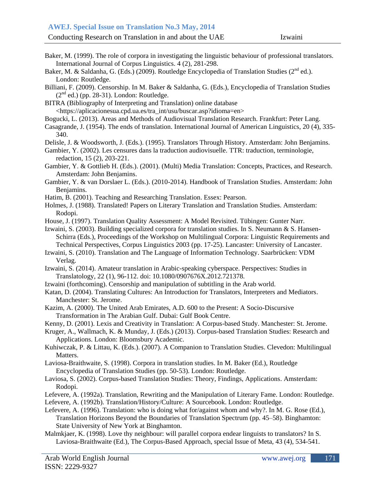- Baker, M. (1999). The role of corpora in investigating the linguistic behaviour of professional translators. International Journal of Corpus Linguistics. 4 (2), 281-298.
- International Journal of Corpus Emguistics.  $4 \times 7$ ,  $261-296$ .<br>Baker, M. & Saldanha, G. (Eds.) (2009). Routledge Encyclopedia of Translation Studies (2<sup>nd</sup> ed.). London: Routledge.
- Billiani, F. (2009). Censorship. In M. Baker & Saldanha, G. (Eds.), Encyclopedia of Translation Studies  $(2<sup>nd</sup>$  ed.) (pp. 28-31). London: Routledge.

BITRA (Bibliography of Interpreting and Translation) online database <https://aplicacionesua.cpd.ua.es/tra\_int/usu/buscar.asp?idioma=en>

Bogucki, L. (2013). Areas and Methods of Audiovisual Translation Research. Frankfurt: Peter Lang.

Casagrande, J. (1954). The ends of translation. International Journal of American Linguistics, 20 (4), 335- 340.

Delisle, J. & Woodsworth, J. (Eds.). (1995). Translators Through History. Amsterdam: John Benjamins.

- Gambier, Y. (2002). Les censures dans la traduction audiovisuelle. TTR: traduction, terminologie, redaction, 15 (2), 203-221.
- Gambier, Y. & Gottlieb H. (Eds.). (2001). (Multi) Media Translation: Concepts, Practices, and Research. Amsterdam: John Benjamins.
- Gambier, Y. & van Dorslaer L. (Eds.). (2010-2014). Handbook of Translation Studies. Amsterdam: John Benjamins.
- Hatim, B. (2001). Teaching and Researching Translation. Essex: Pearson.
- Holmes, J. (1988). Translated! Papers on Literary Translation and Translation Studies. Amsterdam: Rodopi.
- House, J. (1997). Translation Quality Assessment: A Model Revisited. Tübingen: Gunter Narr.

Izwaini, S. (2003). Building specialized corpora for translation studies. In S. Neumann & S. Hansen-Schirra (Eds.), Proceedings of the Workshop on Multilingual Corpora: Linguistic Requirements and Technical Perspectives, Corpus Linguistics 2003 (pp. 17-25). Lancaster: University of Lancaster.

- Izwaini, S. (2010). Translation and The Language of Information Technology. Saarbrücken: VDM Verlag.
- Izwaini, S. (2014). Amateur translation in Arabic-speaking cyberspace. Perspectives: Studies in Translatology, 22 (1), 96-112. doi: 10.1080/0907676X.2012.721378.
- Izwaini (forthcoming). Censorship and manipulation of subtitling in the Arab world.
- Katan, D. (2004). Translating Cultures: An Introduction for Translators, Interpreters and Mediators. Manchester: St. Jerome.
- Kazim, A. (2000). The United Arab Emirates, A.D. 600 to the Present: A Socio-Discursive Transformation in The Arabian Gulf. Dubai: Gulf Book Centre.

Kenny, D. (2001). Lexis and Creativity in Translation: A Corpus-based Study. Manchester: St. Jerome.

Kruger, A., Wallmach, K. & Munday, J. (Eds.) (2013). Corpus-based Translation Studies: Research and Applications. London: Bloomsbury Academic.

Kuhiwczak, P. & Littau, K. (Eds.). (2007). A Companion to Translation Studies. Clevedon: Multilingual Matters.

Laviosa-Braithwaite, S. (1998). Corpora in translation studies. In M. Baker (Ed.), Routledge Encyclopedia of Translation Studies (pp. 50-53). London: Routledge.

Laviosa, S. (2002). Corpus-based Translation Studies: Theory, Findings, Applications. Amsterdam: Rodopi.

Lefevere, A. (1992a). Translation, Rewriting and the Manipulation of Literary Fame. London: Routledge.

Lefevere, A. (1992b). Translation/History/Culture: A Sourcebook. London: Routledge.

Lefevere, A. (1996). Translation: who is doing what for/against whom and why?. In M. G. Rose (Ed.), Translation Horizons Beyond the Boundaries of Translation Spectrum (pp. 45–58). Binghamton: State University of New York at Binghamton.

Malmkjaer, K. (1998). Love thy neighbour: will parallel corpora endear linguists to translators? In S. Laviosa-Braithwaite (Ed.), The Corpus-Based Approach, special Issue of Meta, 43 (4), 534-541.